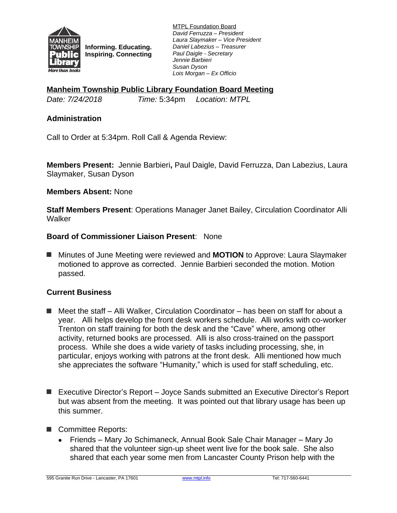

**Informing. Educating. Inspiring. Connecting** MTPL Foundation Board *David Ferruzza – President Laura Slaymaker – Vice President Daniel Labezius – Treasurer Paul Daigle - Secretary Jennie Barbieri Susan Dyson Lois Morgan – Ex Officio*

**Manheim Township Public Library Foundation Board Meeting**

*Date: 7/24/2018 Time:* 5:34pm *Location: MTPL*

# **Administration**

Call to Order at 5:34pm. Roll Call & Agenda Review:

**Members Present:** Jennie Barbieri**,** Paul Daigle, David Ferruzza, Dan Labezius, Laura Slaymaker, Susan Dyson

### **Members Absent:** None

**Staff Members Present**: Operations Manager Janet Bailey, Circulation Coordinator Alli **Walker** 

### **Board of Commissioner Liaison Present**: None

■ Minutes of June Meeting were reviewed and **MOTION** to Approve: Laura Slaymaker motioned to approve as corrected. Jennie Barbieri seconded the motion. Motion passed.

# **Current Business**

- Meet the staff Alli Walker, Circulation Coordinator has been on staff for about a year. Alli helps develop the front desk workers schedule. Alli works with co-worker Trenton on staff training for both the desk and the "Cave" where, among other activity, returned books are processed. Alli is also cross-trained on the passport process. While she does a wide variety of tasks including processing, she, in particular, enjoys working with patrons at the front desk. Alli mentioned how much she appreciates the software "Humanity," which is used for staff scheduling, etc.
- Executive Director's Report Joyce Sands submitted an Executive Director's Report but was absent from the meeting. It was pointed out that library usage has been up this summer.
- Committee Reports:
	- Friends Mary Jo Schimaneck, Annual Book Sale Chair Manager Mary Jo shared that the volunteer sign-up sheet went live for the book sale. She also shared that each year some men from Lancaster County Prison help with the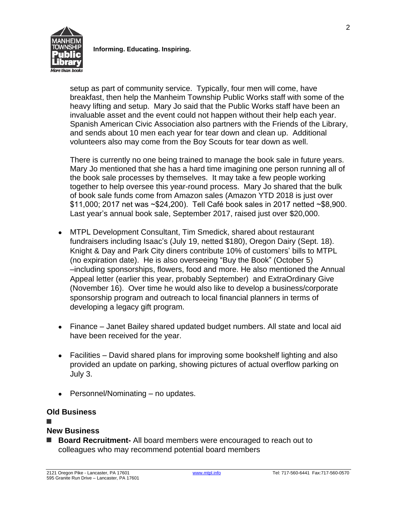

**Informing. Educating. Inspiring.**

setup as part of community service. Typically, four men will come, have breakfast, then help the Manheim Township Public Works staff with some of the heavy lifting and setup. Mary Jo said that the Public Works staff have been an invaluable asset and the event could not happen without their help each year. Spanish American Civic Association also partners with the Friends of the Library, and sends about 10 men each year for tear down and clean up. Additional volunteers also may come from the Boy Scouts for tear down as well.

There is currently no one being trained to manage the book sale in future years. Mary Jo mentioned that she has a hard time imagining one person running all of the book sale processes by themselves. It may take a few people working together to help oversee this year-round process. Mary Jo shared that the bulk of book sale funds come from Amazon sales (Amazon YTD 2018 is just over \$11,000; 2017 net was ~\$24,200). Tell Café book sales in 2017 netted ~\$8,900. Last year's annual book sale, September 2017, raised just over \$20,000.

- MTPL Development Consultant, Tim Smedick, shared about restaurant fundraisers including Isaac's (July 19, netted \$180), Oregon Dairy (Sept. 18). Knight & Day and Park City diners contribute 10% of customers' bills to MTPL (no expiration date). He is also overseeing "Buy the Book" (October 5) –including sponsorships, flowers, food and more. He also mentioned the Annual Appeal letter (earlier this year, probably September) and ExtraOrdinary Give (November 16). Over time he would also like to develop a business/corporate sponsorship program and outreach to local financial planners in terms of developing a legacy gift program.
- Finance Janet Bailey shared updated budget numbers. All state and local aid have been received for the year.
- Facilities David shared plans for improving some bookshelf lighting and also provided an update on parking, showing pictures of actual overflow parking on July 3.
- Personnel/Nominating no updates.

# **Old Business**

### **■**

# **New Business**

■ **Board Recruitment-** All board members were encouraged to reach out to colleagues who may recommend potential board members